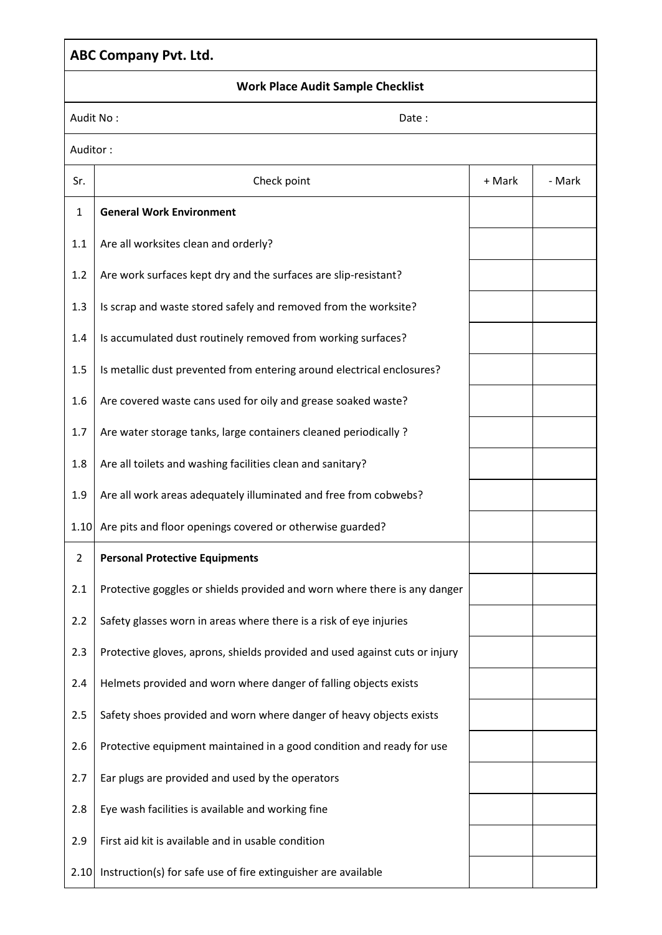## **ABC Company Pvt. Ltd. Work Place Audit Sample Checklist** Audit No : Note : Note : Note : Note : Note : Note : Note : Note : Note : Note : Note : Note : Note : Note : N Auditor : Sr. | Check point | + Mark | - Mark 1 **General Work Environment** 1.1  $\vert$  Are all worksites clean and orderly? 1.2  $\vert$  Are work surfaces kept dry and the surfaces are slip-resistant? 1.3 | Is scrap and waste stored safely and removed from the worksite? 1.4 | Is accumulated dust routinely removed from working surfaces? 1.5 | Is metallic dust prevented from entering around electrical enclosures? 1.6  $\vert$  Are covered waste cans used for oily and grease soaked waste? 1.7 | Are water storage tanks, large containers cleaned periodically? 1.8  $\vert$  Are all toilets and washing facilities clean and sanitary? 1.9  $\vert$  Are all work areas adequately illuminated and free from cobwebs? 1.10 Are pits and floor openings covered or otherwise guarded? 2 **Personal Protective Equipments** 2.1 Protective goggles or shields provided and worn where there is any danger 2.2 Safety glasses worn in areas where there is a risk of eye injuries 2.3 Protective gloves, aprons, shields provided and used against cuts or injury 2.4 Helmets provided and worn where danger of falling objects exists 2.5 Safety shoes provided and worn where danger of heavy objects exists 2.6 Protective equipment maintained in a good condition and ready for use 2.7 Ear plugs are provided and used by the operators 2.8 Eye wash facilities is available and working fine 2.9 First aid kit is available and in usable condition  $2.10$  Instruction(s) for safe use of fire extinguisher are available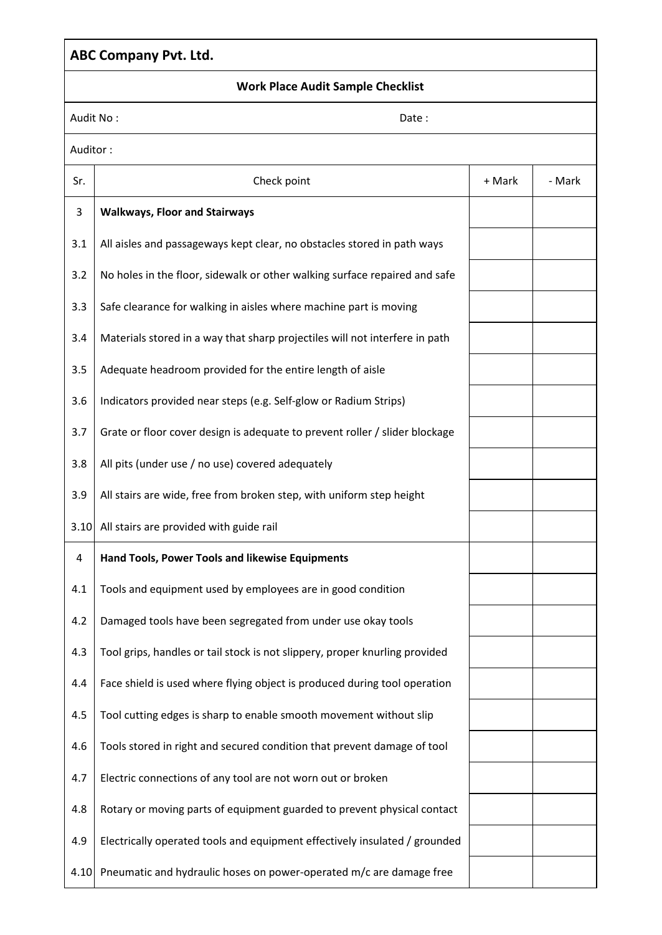### **ABC Company Pvt. Ltd. Work Place Audit Sample Checklist** | Audit No : Note : Note : Note : Note : Note : Note : Note : Note : Note : Note : Note : Note : Note : Note : Note : Note : Note : Note : Note : Note : Note : Note : Note : Note : Note : Note : Note : Note : Note : Note :

| Auditor: |                                                                             |        |        |
|----------|-----------------------------------------------------------------------------|--------|--------|
| Sr.      | Check point                                                                 | + Mark | - Mark |
| 3        | <b>Walkways, Floor and Stairways</b>                                        |        |        |
| 3.1      | All aisles and passageways kept clear, no obstacles stored in path ways     |        |        |
| 3.2      | No holes in the floor, sidewalk or other walking surface repaired and safe  |        |        |
| 3.3      | Safe clearance for walking in aisles where machine part is moving           |        |        |
| 3.4      | Materials stored in a way that sharp projectiles will not interfere in path |        |        |
| 3.5      | Adequate headroom provided for the entire length of aisle                   |        |        |
| 3.6      | Indicators provided near steps (e.g. Self-glow or Radium Strips)            |        |        |
| 3.7      | Grate or floor cover design is adequate to prevent roller / slider blockage |        |        |
| 3.8      | All pits (under use / no use) covered adequately                            |        |        |
| 3.9      | All stairs are wide, free from broken step, with uniform step height        |        |        |
| 3.10     | All stairs are provided with guide rail                                     |        |        |
| 4        | Hand Tools, Power Tools and likewise Equipments                             |        |        |
| 4.1      | Tools and equipment used by employees are in good condition                 |        |        |
| 4.2      | Damaged tools have been segregated from under use okay tools                |        |        |
| 4.3      | Tool grips, handles or tail stock is not slippery, proper knurling provided |        |        |
| 4.4      | Face shield is used where flying object is produced during tool operation   |        |        |
| 4.5      | Tool cutting edges is sharp to enable smooth movement without slip          |        |        |
| 4.6      | Tools stored in right and secured condition that prevent damage of tool     |        |        |
| 4.7      | Electric connections of any tool are not worn out or broken                 |        |        |
| 4.8      | Rotary or moving parts of equipment guarded to prevent physical contact     |        |        |
| 4.9      | Electrically operated tools and equipment effectively insulated / grounded  |        |        |
| 4.10     | Pneumatic and hydraulic hoses on power-operated m/c are damage free         |        |        |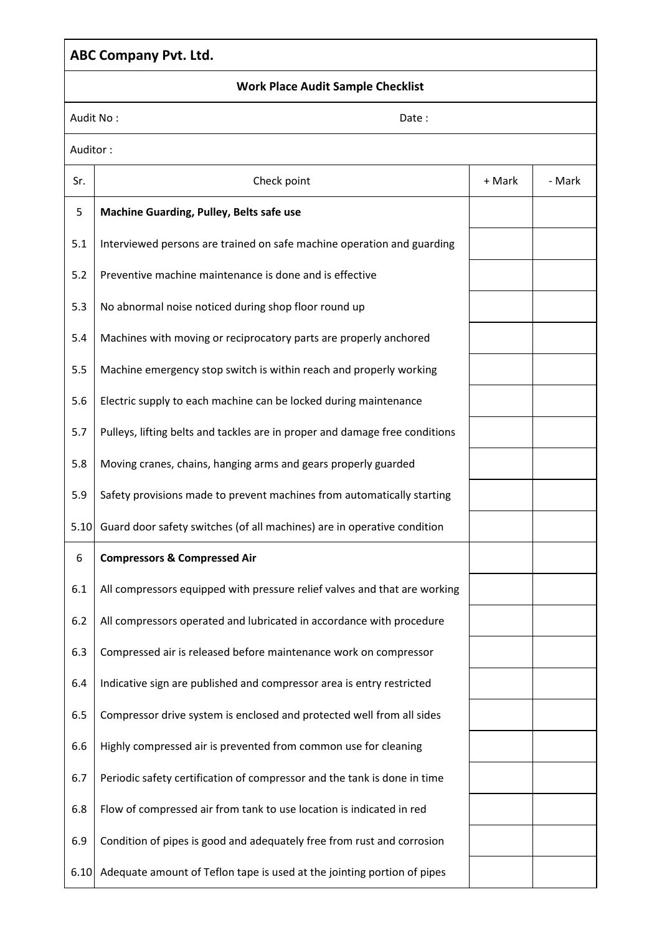### **ABC Company Pvt. Ltd.**

#### **Work Place Audit Sample Checklist**

| Audit No: |  |  |
|-----------|--|--|
|           |  |  |

|          | Audit No:<br>Date:                                                          |        |        |  |  |
|----------|-----------------------------------------------------------------------------|--------|--------|--|--|
| Auditor: |                                                                             |        |        |  |  |
| Sr.      | Check point                                                                 | + Mark | - Mark |  |  |
| 5        | Machine Guarding, Pulley, Belts safe use                                    |        |        |  |  |
| 5.1      | Interviewed persons are trained on safe machine operation and guarding      |        |        |  |  |
| 5.2      | Preventive machine maintenance is done and is effective                     |        |        |  |  |
| 5.3      | No abnormal noise noticed during shop floor round up                        |        |        |  |  |
| 5.4      | Machines with moving or reciprocatory parts are properly anchored           |        |        |  |  |
| 5.5      | Machine emergency stop switch is within reach and properly working          |        |        |  |  |
| 5.6      | Electric supply to each machine can be locked during maintenance            |        |        |  |  |
| 5.7      | Pulleys, lifting belts and tackles are in proper and damage free conditions |        |        |  |  |
| 5.8      | Moving cranes, chains, hanging arms and gears properly guarded              |        |        |  |  |
| 5.9      | Safety provisions made to prevent machines from automatically starting      |        |        |  |  |
| 5.10     | Guard door safety switches (of all machines) are in operative condition     |        |        |  |  |
| 6        | <b>Compressors &amp; Compressed Air</b>                                     |        |        |  |  |
| 6.1      | All compressors equipped with pressure relief valves and that are working   |        |        |  |  |
| 6.2      | All compressors operated and lubricated in accordance with procedure        |        |        |  |  |
| 6.3      | Compressed air is released before maintenance work on compressor            |        |        |  |  |
| 6.4      | Indicative sign are published and compressor area is entry restricted       |        |        |  |  |
| 6.5      | Compressor drive system is enclosed and protected well from all sides       |        |        |  |  |
| 6.6      | Highly compressed air is prevented from common use for cleaning             |        |        |  |  |
| 6.7      | Periodic safety certification of compressor and the tank is done in time    |        |        |  |  |
| 6.8      | Flow of compressed air from tank to use location is indicated in red        |        |        |  |  |
| 6.9      | Condition of pipes is good and adequately free from rust and corrosion      |        |        |  |  |
| 6.10     | Adequate amount of Teflon tape is used at the jointing portion of pipes     |        |        |  |  |